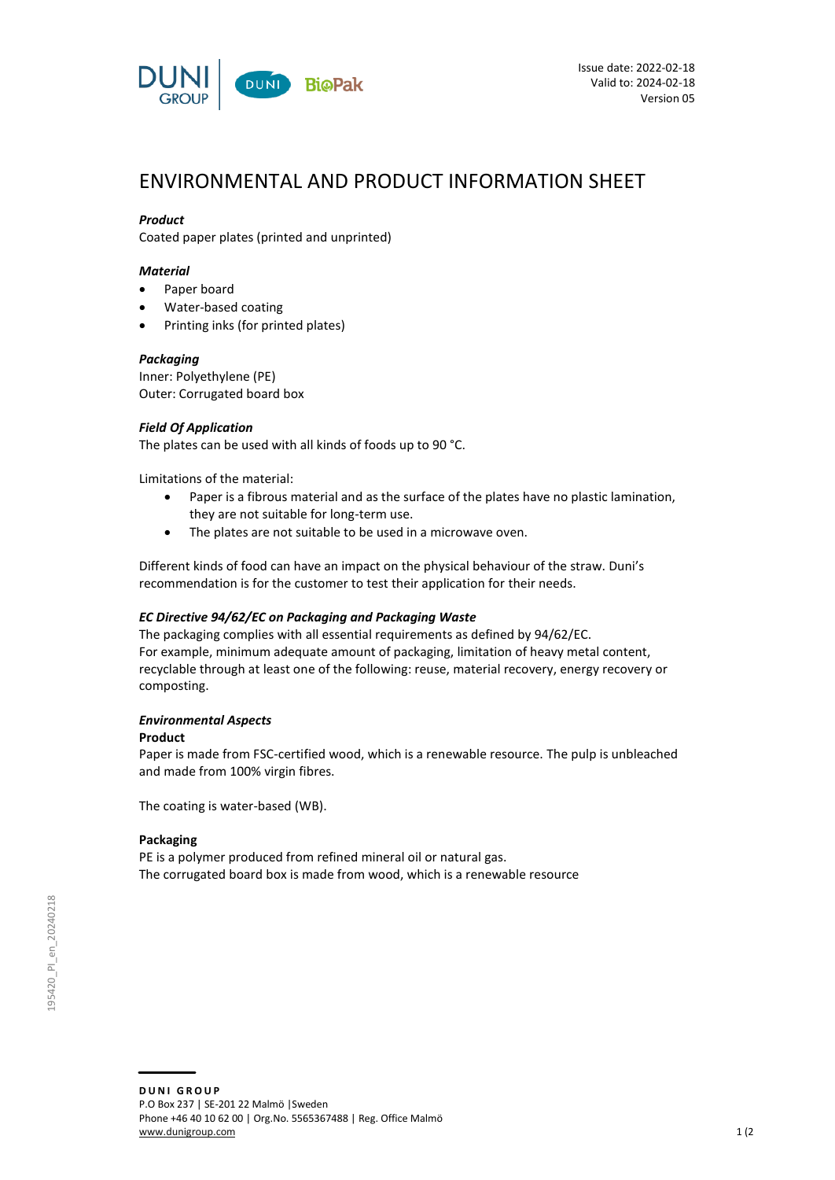

# ENVIRONMENTAL AND PRODUCT INFORMATION SHEET

## *Product*

Coated paper plates (printed and unprinted)

## *Material*

- Paper board
- Water-based coating
- Printing inks (for printed plates)

## *Packaging*

Inner: Polyethylene (PE) Outer: Corrugated board box

## *Field Of Application*

The plates can be used with all kinds of foods up to 90 °C.

Limitations of the material:

- Paper is a fibrous material and as the surface of the plates have no plastic lamination, they are not suitable for long-term use.
- The plates are not suitable to be used in a microwave oven.

Different kinds of food can have an impact on the physical behaviour of the straw. Duni's recommendation is for the customer to test their application for their needs.

### *EC Directive 94/62/EC on Packaging and Packaging Waste*

The packaging complies with all essential requirements as defined by 94/62/EC. For example, minimum adequate amount of packaging, limitation of heavy metal content, recyclable through at least one of the following: reuse, material recovery, energy recovery or composting.

### *Environmental Aspects*

### **Product**

Paper is made from FSC-certified wood, which is a renewable resource. The pulp is unbleached and made from 100% virgin fibres.

The coating is water-based (WB).

### **Packaging**

PE is a polymer produced from refined mineral oil or natural gas. The corrugated board box is made from wood, which is a renewable resource